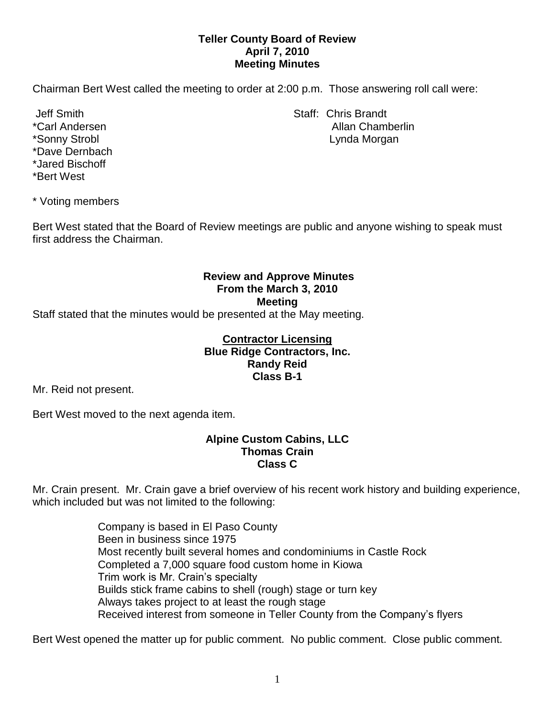## **Teller County Board of Review April 7, 2010 Meeting Minutes**

Chairman Bert West called the meeting to order at 2:00 p.m. Those answering roll call were:

\*Dave Dernbach \*Jared Bischoff \*Bert West

Jeff Smith Staff: Chris Brandt \*Carl Andersen Allan Chamberlin \*Sonny Strobl Lynda Morgan

\* Voting members

Bert West stated that the Board of Review meetings are public and anyone wishing to speak must first address the Chairman.

# **Review and Approve Minutes From the March 3, 2010 Meeting**

Staff stated that the minutes would be presented at the May meeting.

## **Contractor Licensing Blue Ridge Contractors, Inc. Randy Reid Class B-1**

Mr. Reid not present.

Bert West moved to the next agenda item.

#### **Alpine Custom Cabins, LLC Thomas Crain Class C**

Mr. Crain present. Mr. Crain gave a brief overview of his recent work history and building experience, which included but was not limited to the following:

> Company is based in El Paso County Been in business since 1975 Most recently built several homes and condominiums in Castle Rock Completed a 7,000 square food custom home in Kiowa Trim work is Mr. Crain's specialty Builds stick frame cabins to shell (rough) stage or turn key Always takes project to at least the rough stage Received interest from someone in Teller County from the Company's flyers

Bert West opened the matter up for public comment. No public comment. Close public comment.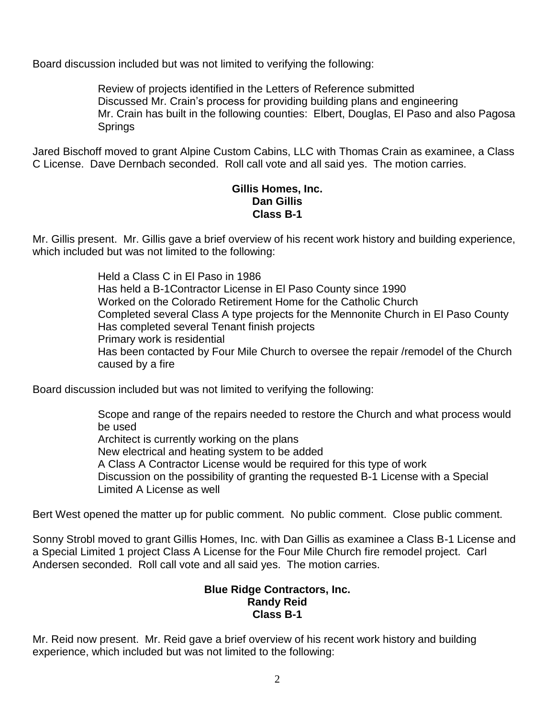Board discussion included but was not limited to verifying the following:

Review of projects identified in the Letters of Reference submitted Discussed Mr. Crain's process for providing building plans and engineering Mr. Crain has built in the following counties: Elbert, Douglas, El Paso and also Pagosa Springs

Jared Bischoff moved to grant Alpine Custom Cabins, LLC with Thomas Crain as examinee, a Class C License. Dave Dernbach seconded. Roll call vote and all said yes. The motion carries.

### **Gillis Homes, Inc. Dan Gillis Class B-1**

Mr. Gillis present. Mr. Gillis gave a brief overview of his recent work history and building experience, which included but was not limited to the following:

> Held a Class C in El Paso in 1986 Has held a B-1Contractor License in El Paso County since 1990 Worked on the Colorado Retirement Home for the Catholic Church Completed several Class A type projects for the Mennonite Church in El Paso County Has completed several Tenant finish projects Primary work is residential Has been contacted by Four Mile Church to oversee the repair /remodel of the Church caused by a fire

Board discussion included but was not limited to verifying the following:

Scope and range of the repairs needed to restore the Church and what process would be used

Architect is currently working on the plans

New electrical and heating system to be added

A Class A Contractor License would be required for this type of work

Discussion on the possibility of granting the requested B-1 License with a Special Limited A License as well

Bert West opened the matter up for public comment. No public comment. Close public comment.

Sonny Strobl moved to grant Gillis Homes, Inc. with Dan Gillis as examinee a Class B-1 License and a Special Limited 1 project Class A License for the Four Mile Church fire remodel project. Carl Andersen seconded. Roll call vote and all said yes. The motion carries.

## **Blue Ridge Contractors, Inc. Randy Reid Class B-1**

Mr. Reid now present. Mr. Reid gave a brief overview of his recent work history and building experience, which included but was not limited to the following: